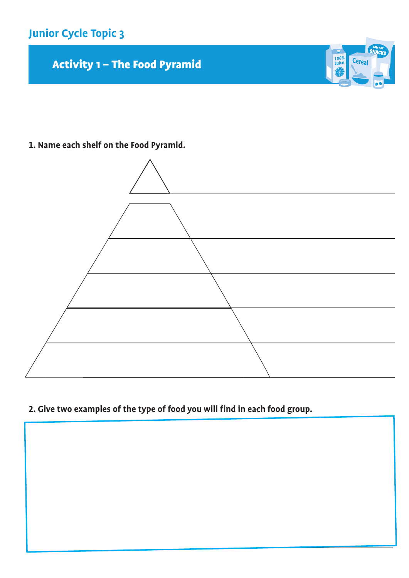

Activity 1 - The Food Pyramid





 $\frac{100\%}{\text{Juice}}$ 

Cereal

**2. Give two examples of the type of food you will find in each food group.**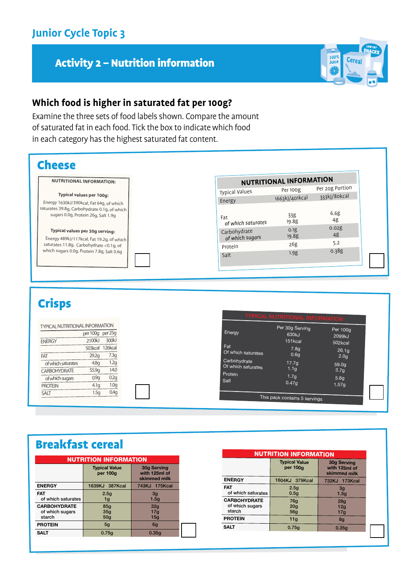#### Activity 2 – Nutrition information



#### **Which food is higher in saturated fat per 100g?**

Examine the three sets of food labels shown. Compare the amount of saturated fat in each food. Tick the box to indicate which food in each category has the highest saturated fat content.



# Crisps

| TYPICAL NUTRITIONAL INFORMATION           | per 100g per 25g          |                  | Energy  |                                    | Per 30g Serving                       | Per $100q$                            |
|-------------------------------------------|---------------------------|------------------|---------|------------------------------------|---------------------------------------|---------------------------------------|
| <b>ENERGY</b>                             | 2100kJ<br>503kcal 126kcal | 300kJ            | Fat     |                                    | 630kJ<br>151kcal<br>7.8 <sub>g</sub>  | 2099kJ<br>502kcal<br>26.1q            |
| FAT                                       | 29.2q                     | 7.3 <sub>g</sub> |         | Of which saturates                 | 0.6 <sub>q</sub>                      | 2.0 <sub>g</sub>                      |
| of which saturates<br><b>CARBOHYDRATE</b> | 4.8q<br>55.9g             | 1.2g<br>14.0     | Protein | Carbohydrate<br>Of which saturates | 17.7 <sub>q</sub><br>1.1 <sub>g</sub> | 59.0 <sub>q</sub><br>3.7 <sub>g</sub> |
| of which sugars                           | 0.9q                      | 0.2g             | Salt    |                                    | 1.7 <sub>g</sub>                      | 5.6 <sub>g</sub>                      |
| <b>PROTEIN</b>                            | 4.1 <sub>q</sub>          | 1.0 <sub>g</sub> |         |                                    | 0.47 <sub>q</sub>                     | 1.57g                                 |
| <b>SALT</b>                               | 1.5g                      | 0.4g             |         |                                    | This pack contains 5 servings         |                                       |

# Breakfast cereal

| NUTRITION INFORMATION                            |                                                                                  |                               |  |  |  |  |
|--------------------------------------------------|----------------------------------------------------------------------------------|-------------------------------|--|--|--|--|
|                                                  | <b>Typical Value</b><br>30g Serving<br>with 125ml of<br>per 100g<br>skimmed milk |                               |  |  |  |  |
| <b>ENERGY</b>                                    | 1639KJ 387Kcal                                                                   | 743KJ 175Kcal                 |  |  |  |  |
| <b>FAT</b><br>of which saturates                 | 2.5q<br>1g                                                                       | 3 <sub>g</sub><br>1.5q        |  |  |  |  |
| <b>CARBOHYDRATE</b><br>of which sugars<br>starch | 85q<br>35q<br>50 <sub>q</sub>                                                    | 32q<br>17 <sub>q</sub><br>15q |  |  |  |  |
| <b>PROTEIN</b>                                   | 5 <sub>g</sub>                                                                   | 6g                            |  |  |  |  |
| <b>SALT</b>                                      | 0.75q                                                                            | 0.35q                         |  |  |  |  |

| <b>NUTRITION INFORMATION</b>                     |                                  |                                              |  |  |  |  |
|--------------------------------------------------|----------------------------------|----------------------------------------------|--|--|--|--|
|                                                  | <b>Typical Value</b><br>per 100g | 30g Serving<br>with 125ml of<br>skimmed milk |  |  |  |  |
| <b>ENERGY</b>                                    | 1604KJ 379Kcal                   | 732KJ 173Kcal                                |  |  |  |  |
| <b>FAT</b><br>of which saturates                 | 2.5q<br>0.5q                     | 3 <sub>g</sub><br>1.5q                       |  |  |  |  |
| <b>CARBOHYDRATE</b><br>of which sugars<br>starch | 76g<br>20q<br>56q                | 29q<br>12q<br>17g                            |  |  |  |  |
| <b>PROTEIN</b>                                   | 11q                              | 8q                                           |  |  |  |  |
| SALT                                             | 0.75q                            | 0.35q                                        |  |  |  |  |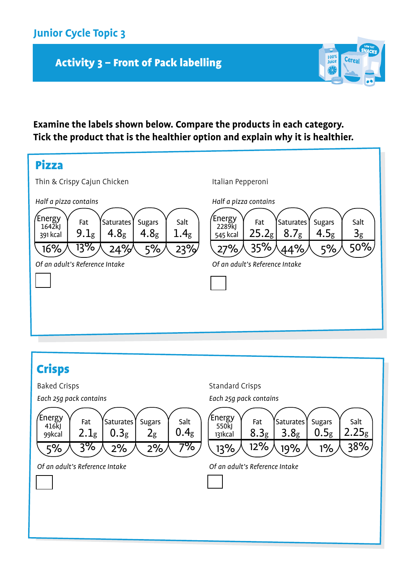## **Junior Cycle Topic 3**

## Activity 3 - Front of Pack labelling

#### **Examine the labels shown below. Compare the products in each category. Tick the product that is the healthier option and explain why it is healthier.**

100%<br>Juice

Cereal